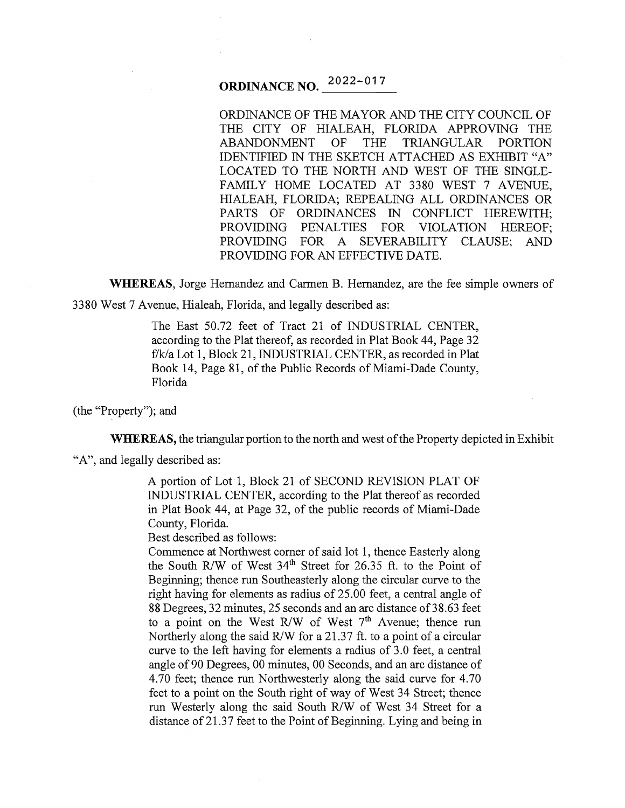# **ORDINANCE NO.**  $2022 - 017$

ORDINANCE OF THE MAYOR AND THE CITY COUNCIL OF THE CITY OF HIALEAH, FLORIDA APPROVING THE ABANDONMENT OF THE TRIANGULAR PORTION IDENTIFIED IN THE SKETCH ATTACHED AS EXHIBIT "A" LOCATED TO THE NORTH AND WEST OF THE SINGLE-FAMILY HOME LOCATED AT 3380 WEST 7 AVENUE, HIALEAH, FLORIDA; REPEALING ALL ORDINANCES OR PARTS OF ORDINANCES IN CONFLICT HEREWITH; PROVIDING PENALTIES FOR VIOLATION HEREOF; PROVIDING FOR A SEVERABILITY CLAUSE; AND PROVIDING FOR AN EFFECTIVE DATE.

**WHEREAS,** Jorge Hernandez and Carmen B. Hernandez, are the fee simple owners of 3380 West 7 Avenue, Hialeah, Florida, and legally described as:

> The East 50.72 feet of Tract 21 of INDUSTRIAL CENTER, according to the Plat thereof, as recorded in Plat Book 44, Page 32 f/k/a Lot 1, Block 21, INDUSTRIAL CENTER, as recorded in Plat Book 14, Page 81, of the Public Records of Miami-Dade County, Florida

(the "Property"); and

**WHEREAS,** the triangular portion to the north and west of the Property depicted in Exhibit

"A'', and legally described as:

A portion of Lot 1, Block 21 of SECOND REVISION PLAT OF INDUSTRIAL CENTER, according to the Plat thereof as recorded in Plat Book 44, at Page 32, of the public records of Miami-Dade County, Florida.

Best described as follows:

Commence at Northwest comer of said lot 1, thence Easterly along the South R/W of West 34<sup>th</sup> Street for 26.35 ft. to the Point of Beginning; thence run Southeasterly along the circular curve to the right having for elements as radius of 25 .00 feet, a central angle of 88 Degrees, 32 minutes, 25 seconds and an arc distance of 38.63 feet to a point on the West R/W of West  $7<sup>th</sup>$  Avenue; thence run Northerly along the said R/W for a 21.37 ft. to a point of a circular curve to the left having for elements a radius of 3.0 feet, a central angle of 90 Degrees, 00 minutes, 00 Seconds, and an arc distance of 4.70 feet; thence run Northwesterly along the said curve for 4.70 feet to a point on the South right of way of West 34 Street; thence run Westerly along the said South RJW of West 34 Street for a distance of 21.37 feet to the Point of Beginning. Lying and being in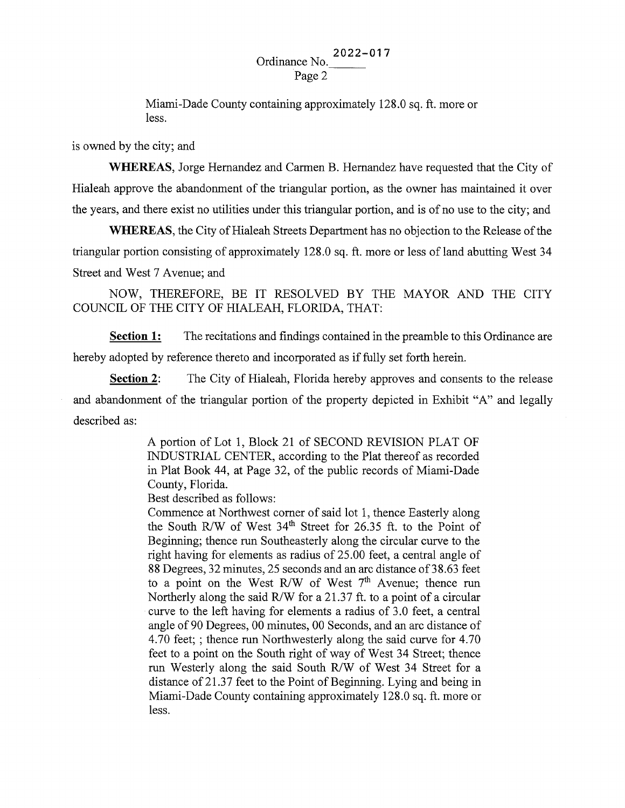# Ordinance No.  $\frac{2022-017}{p_{200c}2}$ Page 2

Miami-Dade County containing approximately 128.0 sq. ft. more or less.

is owned by the city; and

**WHEREAS,** Jorge Hernandez and Carmen B. Hernandez have requested that the City of Hialeah approve the abandonment of the triangular portion, as the owner has maintained it over the years, and there exist no utilities under this triangular portion, and is of no use to the city; and

**WHEREAS,** the City of Hialeah Streets Department has no objection to the Release of the triangular portion consisting of approximately 128.0 sq. ft. more or less of land abutting West 34 Street and West 7 Avenue; and

NOW, THEREFORE, BE IT RESOLVED BY THE MAYOR AND THE CITY COUNCIL OF THE CITY OF HIALEAH, FLORIDA, THAT:

**Section 1:** The recitations and findings contained in the preamble to this Ordinance are hereby adopted by reference thereto and incorporated as if fully set forth herein.

**Section 2:** The City of Hialeah, Florida hereby approves and consents to the release and abandonment of the triangular portion of the property depicted in Exhibit "A" and legally described as:

> A portion of Lot 1, Block 21 of SECOND REVISION PLAT OF INDUSTRIAL CENTER, according to the Plat thereof as recorded in Plat Book 44, at Page 32, of the public records of Miami-Dade County, Florida.

Best described as follows:

Commence at Northwest comer of said lot 1, thence Easterly along the South R/W of West 34<sup>th</sup> Street for 26.35 ft. to the Point of Beginning; thence run Southeasterly along the circular curve to the right having for elements as radius of 25.00 feet, a central angle of 88 Degrees, 32 minutes, 25 seconds and an arc distance of38.63 feet to a point on the West R/W of West  $7<sup>th</sup>$  Avenue; thence run Northerly along the said R/W for a 21.37 ft. to a point of a circular curve to the left having for elements a radius of 3.0 feet, a central angle of 90 Degrees, 00 minutes, 00 Seconds, and an arc distance of 4.70 feet; ; thence run Northwesterly along the said curve for 4.70 feet to a point on the South right of way of West 34 Street; thence run Westerly along the said South R/W of West 34 Street for a distance of 21.37 feet to the Point of Beginning. Lying and being in Miami-Dade County containing approximately 128.0 sq. ft. more or less.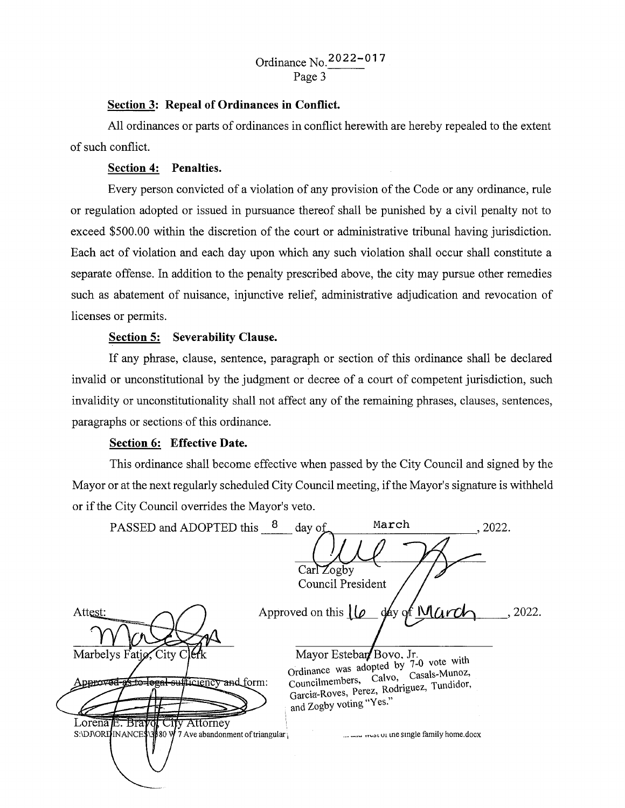## **Section 3: Repeal of Ordinances in Conflict.**

All ordinances or parts of ordinances in conflict herewith are hereby repealed to the extent of such conflict.

#### **Section 4: Penalties.**

Every person convicted of a violation of any provision of the Code or any ordinance, rule or regulation adopted or issued in pursuance thereof shall be punished by a civil penalty not to exceed \$500.00 within the discretion of the court or administrative tribunal having jurisdiction. Each act of violation and each day upon which any such violation shall occur shall constitute a separate offense. In addition to the penalty prescribed above, the city may pursue other remedies such as abatement of nuisance, injunctive relief, administrative adjudication and revocation of licenses or permits.

## **Section 5: Severability Clause.**

If any phrase, clause, sentence, paragraph or section of this ordinance shall be declared invalid or unconstitutional by the judgment or decree of a court of competent jurisdiction, such invalidity or unconstitutionality shall not affect any of the remaining phrases, clauses, sentences, paragraphs or sections of this ordinance.

#### **Section 6: Effective Date.**

This ordinance shall become effective when passed by the City Council and signed by the Mayor or at the next regularly scheduled City Council meeting, if the Mayor's signature is withheld or if the City Council overrides the Mayor's veto.

| of it are only council overflues are mayor's velo.                                                                                                                                |                                                                                         |                                                                                                                                                                                    |         |
|-----------------------------------------------------------------------------------------------------------------------------------------------------------------------------------|-----------------------------------------------------------------------------------------|------------------------------------------------------------------------------------------------------------------------------------------------------------------------------------|---------|
| PASSED and ADOPTED this 8                                                                                                                                                         | day of                                                                                  | March                                                                                                                                                                              | , 2022. |
|                                                                                                                                                                                   | CarZogby                                                                                |                                                                                                                                                                                    |         |
|                                                                                                                                                                                   | Council President                                                                       |                                                                                                                                                                                    |         |
| Attest:<br>Marbelys Fatig, City Clefk<br>pproved-as-to-legal-sufficiency and form:<br>Lorena E. Brazol City Attorney<br>S:\DJ\ORLINANCE\$\3\$80 W 7 Ave abandonment of triangular | Approved on this $  \phi \rangle$<br>Mayor Esteban Bovo, Jr.<br>and Zogby voting "Yes." | day of March<br>Ordinance was adopted by 7-0 vote with<br>Councilmembers, Calvo, Casals-Munoz,<br>Garcia-Roves, Perez, Rodriguez, Tundidor,<br>west of the single family home.docx | 2022.   |
|                                                                                                                                                                                   |                                                                                         |                                                                                                                                                                                    |         |